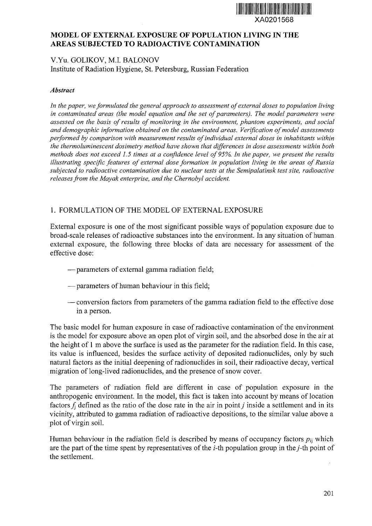

# **MODEL OF EXTERNAL EXPOSURE OF POPULATION LIVING IN THE AREAS SUBJECTED TO RADIOACTIVE CONTAMINATION**

## V.Yu. GOLIKOV, M.I. BALONOV Institute of Radiation Hygiene, St. Petersburg, Russian Federation

### *Abstract*

*In the paper, we formulated the general approach to assessment of external doses to population living in contaminated areas (the model equation and the set of parameters). The model parameters were assessed on the basis of results of monitoring in the environment, phantom experiments, and social and demographic information obtained on the contaminated areas. Verification of model assessments performed by comparison with measurement results of individual external doses in inhabitants within the thermoluminescent dosimetry method have shown that differences in dose assessments within both methods does not exceed 1.5 times at a confidence level of 95%. In the paper, we present the results illustrating specific features of external dose formation in population living in the areas of Russia subjected to radioactive contamination due to nuclear tests at the Semipalatinsk test site, radioactive releases from the Mayak enterprise, and the Chernobyl accident.*

# 1. FORMULATION OF THE MODEL OF EXTERNAL EXPOSURE

External exposure is one of the most significant possible ways of population exposure due to broad-scale releases of radioactive substances into the environment. In any situation of human external exposure, the following three blocks of data are necessary for assessment of the effective dose:

- —parameters of external gamma radiation field;
- —parameters of human behaviour in this field;
- conversion factors from parameters of the gamma radiation field to the effective dose in a person.

The basic model for human exposure in case of radioactive contamination of the environment is the model for exposure above an open plot of virgin soil, and the absorbed dose in the air at the height of 1 m above the surface is used as the parameter for the radiation field. In this case, its value is influenced, besides the surface activity of deposited radionuclides, only by such natural factors as the initial deepening of radionuclides in soil, their radioactive decay, vertical migration of long-lived radionuclides, and the presence of snow cover.

The parameters of radiation field are different in case of population exposure in the anthropogenic environment. In the model, this fact is taken into account by means of location factors  $f_i$  defined as the ratio of the dose rate in the air in point *j* inside a settlement and in its vicinity, attributed to gamma radiation of radioactive depositions, to the similar value above a plot of virgin soil.

Human behaviour in the radiation field is described by means of occupancy factors  $p_{ii}$  which are the part of the time spent by representatives of the  $i$ -th population group in the  $j$ -th point of the settlement.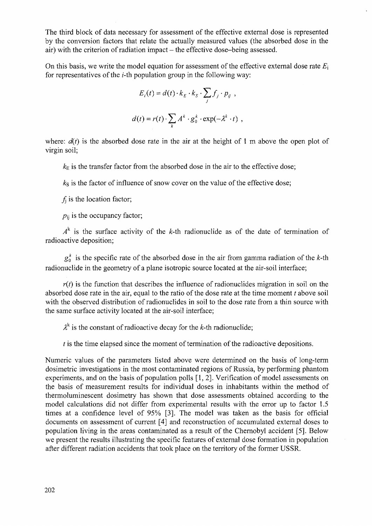The third block of data necessary for assessment of the effective external dose is represented by the conversion factors that relate the actually measured values (the absorbed dose in the air) with the criterion of radiation impact  $-$  the effective dose-being assessed.

On this basis, we write the model equation for assessment of the effective external dose rate  $E_i$ for representatives of the *i-th* population group in the following way:

$$
E_i(t) = d(t) \cdot k_E \cdot k_S \cdot \sum_j f_j \cdot p_{ij} ,
$$
  

$$
d(t) = r(t) \cdot \sum_k A^k \cdot g_0^k \cdot \exp(-\lambda^k \cdot t) ,
$$

where:  $d(t)$  is the absorbed dose rate in the air at the height of 1 m above the open plot of virgin soil;

 $k<sub>F</sub>$  is the transfer factor from the absorbed dose in the air to the effective dose;

 $k<sub>S</sub>$  is the factor of influence of snow cover on the value of the effective dose;

 $f_i$  is the location factor;

 $p_{ii}$  is the occupancy factor;

 $A^k$  is the surface activity of the k-th radionuclide as of the date of termination of radioactive deposition;

 $g_0^k$  is the specific rate of the absorbed dose in the air from gamma radiation of the k-th radionuclide in the geometry of a plane isotropic source located at the air-soil interface;

 $r(t)$  is the function that describes the influence of radionuclides migration in soil on the absorbed dose rate in the air, equal to the ratio of the dose rate at the time moment *t* above soil with the observed distribution of radionuclides in soil to the dose rate from a thin source with the same surface activity located at the air-soil interface;

 $\lambda^k$  is the constant of radioactive decay for the k-th radionuclide;

*t* is the time elapsed since the moment of termination of the radioactive depositions.

Numeric values of the parameters listed above were determined on the basis of long-term dosimetric investigations in the most contaminated regions of Russia, by performing phantom experiments, and on the basis of population polls [1,2]. Verification of model assessments on the basis of measurement results for individual doses in inhabitants within the method of thermoluminescent dosimetry has shown that dose assessments obtained according to the model calculations did not differ from experimental results with the error up to factor 1.5 times at a confidence level of 95% [3]. The model was taken as the basis for official documents on assessment of current [4] and reconstruction of accumulated external doses to population living in the areas contaminated as a result of the Chernobyl accident [5]. Below we present the results illustrating the specific features of external dose formation in population after different radiation accidents that took place on the territory of the former USSR.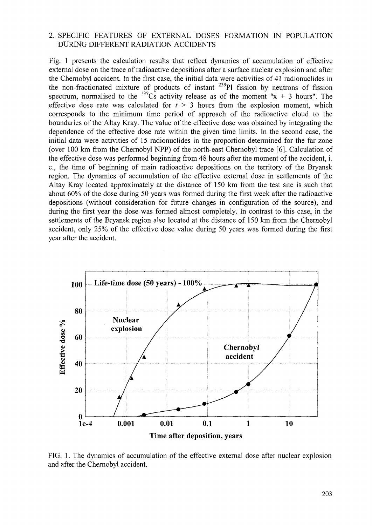### 2. SPECIFIC FEATURES OF EXTERNAL DOSES FORMATION IN POPULATION DURING DIFFERENT RADIATION ACCIDENTS

Fig. 1 presents the calculation results that reflect dynamics of accumulation of effective external dose on the trace of radioactive depositions after a surface nuclear explosion and after the Chernobyl accident. In the first case, the initial data were activities of 41 radionuclides in the non-fractionated mixture of products of instant  $^{239}$ Pl fission by neutrons of fission spectrum, normalised to the <sup>137</sup>Cs activity release as of the moment "x + 3 hours". The effective dose rate was calculated for  $t > 3$  hours from the explosion moment, which corresponds to the minimum time period of approach of the radioactive cloud to the boundaries of the Altay Kray. The value of the effective dose was obtained by integrating the dependence of the effective dose rate within the given time limits. In the second case, the initial data were activities of 15 radionuclides in the proportion determined for the far zone (over 100 km from the Chernobyl NPP) of the north-east Chernobyl trace [6]. Calculation of the effective dose was performed beginning from 48 hours after the moment of the accident, i. e., the time of beginning of main radioactive depositions on the territory of the Bryansk region. The dynamics of accumulation of the effective external dose in settlements of the Altay Kray located approximately at the distance of 150 km from the test site is such that about 60% of the dose during 50 years was formed during the first week after the radioactive depositions (without consideration for future changes in configuration of the source), and during the first year the dose was formed almost completely. In contrast to this case, in the settlements of the Bryansk region also located at the distance of 150 km from the Chernobyl accident, only 25% of the effective dose value during 50 years was formed during the first year after the accident.



FIG. 1. The dynamics of accumulation of the effective external dose after nuclear explosion and after the Chernobyl accident.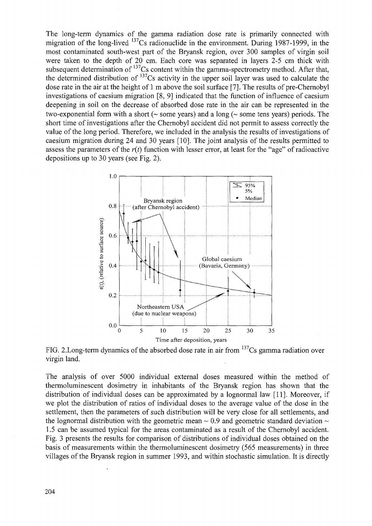The long-term dynamics of the gamma radiation dose rate is primarily connected with migration of the long-lived <sup>137</sup>Cs radionuclide in the environment. During 1987-1999, in the most contaminated south-west part of the Bryansk region, over 300 samples of virgin soil were taken to the depth of 20 cm. Each core was separated in layers 2-5 cm thick with subsequent determination of <sup>137</sup>Cs content within the gamma-spectrometry method. After that, the determined distribution of <sup>137</sup>Cs activity in the upper soil layer was used to calculate the dose rate in the air at the height of 1 m above the soil surface [7]. The results of pre-Chernobyl investigations of caesium migration [8, 9] indicated that the function of influence of caesium deepening in soil on the decrease of absorbed dose rate in the air can be represented in the two-exponential form with a short ( $\sim$  some years) and a long ( $\sim$  some tens years) periods. The short time of investigations after the Chernobyl accident did not permit to assess correctly the value of the long period. Therefore, we included in the analysis the results of investigations of caesium migration during 24 and 30 years [10]. The joint analysis of the results permitted to assess the parameters of the *r(t)* function with lesser error, at least for the "age" of radioactive depositions up to 30 years (see Fig. 2).



FIG. 2. Long-term dynamics of the absorbed dose rate in air from <sup>137</sup>Cs gamma radiation over virgin land.

The analysis of over 5000 individual external doses measured within the method of thermoluminescent dosimetry in inhabitants of the Bryansk region has shown that the distribution of individual doses can be approximated by a lognormal law [11]. Moreover, if we plot the distribution of ratios of individual doses to the average value of the dose in the settlement, then the parameters of such distribution will be very close for all settlements, and the lognormal distribution with the geometric mean  $\sim$  0.9 and geometric standard deviation  $\sim$ 1.5 can be assumed typical for the areas contaminated as a result of the Chernobyl accident. Fig. 3 presents the results for comparison of distributions of individual doses obtained on the basis of measurements within the thermoluminescent dosimetry (565 measurements) in three villages of the Bryansk region in summer 1993, and within stochastic simulation. It is directly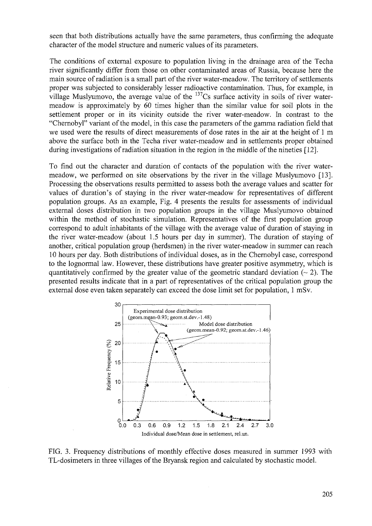seen that both distributions actually have the same parameters, thus confirming the adequate character of the model structure and numeric values of its parameters.

The conditions of external exposure to population living in the drainage area of the Techa river significantly differ from those on other contaminated areas of Russia, because here the main source of radiation is a small part of the river water-meadow. The territory of settlements proper was subjected to considerably lesser radioactive contamination. Thus, for example, in village Muslyumovo, the average value of the  $137$ Cs surface activity in soils of river watermeadow is approximately by 60 times higher than the similar value for soil plots in the settlement proper or in its vicinity outside the river water-meadow. In contrast to the "Chernobyl" variant of the model, in this case the parameters of the gamma radiation field that we used were the results of direct measurements of dose rates in the air at the height of 1 m above the surface both in the Techa river water-meadow and in settlements proper obtained during investigations of radiation situation in the region in the middle of the nineties [12].

To find out the character and duration of contacts of the population with the river watermeadow, we performed on site observations by the river in the village Muslyumovo [13]. Processing the observations results permitted to assess both the average values and scatter for values of duration's of staying in the river water-meadow for representatives of different population groups. As an example, Fig. 4 presents the results for assessments of individual external doses distribution in two population groups in the village Muslyumovo obtained within the method of stochastic simulation. Representatives of the first population group correspond to adult inhabitants of the village with the average value of duration of staying in the river water-meadow (about 1.5 hours per day in summer). The duration of staying of another, critical population group (herdsmen) in the river water-meadow in summer can reach 10 hours per day. Both distributions of individual doses, as in the Chernobyl case, correspond to the lognormal law. However, these distributions have greater positive asymmetry, which is quantitatively confirmed by the greater value of the geometric standard deviation  $(\sim 2)$ . The presented results indicate that in a part of representatives of the critical population group the external dose even taken separately can exceed the dose limit set for population, 1 mSv.



FIG. 3. Frequency distributions of monthly effective doses measured in summer 1993 with TL-dosimeters in three villages of the Bryansk region and calculated by stochastic model.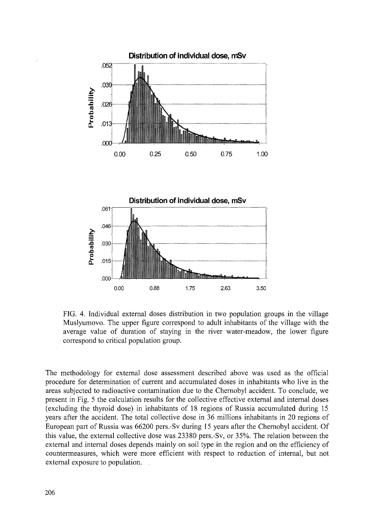



FIG. 4. Individual external doses distribution in two population groups in the village Muslyumovo. The upper figure correspond to adult inhabitants of the village with the average value of duration of staying in the river water-meadow, the lower figure correspond to critical population group.

The methodology for external dose assessment described above was used as the official procedure for determination of current and accumulated doses in inhabitants who live in the areas subjected to radioactive contamination due to the Chernobyl accident. To conclude, we present in Fig. 5 the calculation results for the collective effective external and internal doses (excluding the thyroid dose) in inhabitants of 18 regions of Russia accumulated during 15 years after the accident. The total collective dose in 36 millions inhabitants in 20 regions of European part of Russia was 66200 pers.-Sv during 15 years after the Chernobyl accident. Of this value, the external collective dose was 23380 pers.-Sv, or 35%. The relation between the external and internal doses depends mainly on soil type in the region and on the efficiency of countermeasures, which were more efficient with respect to reduction of internal, but not external exposure to population. .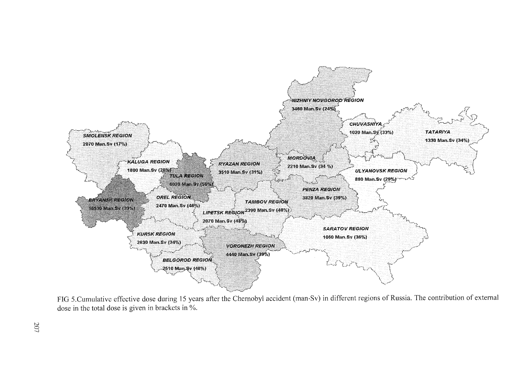

FIG 5.Cumulative effective dose during 15 years after the Chernobyl accident (man-Sv) in different regions of Russia. The contribution of external dose in the total dose is given in brackets in %.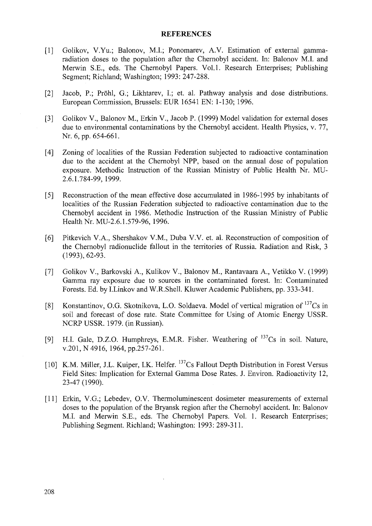#### **REFERENCES**

- [1] Golikov, V.Yu.; Balonov, M.I.; Ponomarev, A.V. Estimation of external gammaradiation doses to the population after the Chernobyl accident. In: Balonov M.I. and Merwin S.E., eds. The Chernobyl Papers. Vol.1. Research Enterprises; Publishing Segment; Richland; Washington; 1993: 247-288.
- [2] Jacob, P.; Pröhl, G.; Likhtarev, I.; et. al. Pathway analysis and dose distributions. European Commission, Brussels: EUR 16541 EN: 1-130; 1996.
- [3] Golikov V., Balonov M., Erkin V., Jacob P. (1999) Model validation for external doses due to environmental contaminations by the Chernobyl accident. Health Physics, v. 77, Nr. 6, pp. 654-661.
- [4] Zoning of localities of the Russian Federation subjected to radioactive contamination due to the accident at the Chernobyl NPP, based on the annual dose of population exposure. Methodic Instruction of the Russian Ministry of Public Health Nr. MU-2.6.1.784-99, 1999.
- [5] Reconstruction of the mean effective dose accumulated in 1986-1995 by inhabitants of localities of the Russian Federation subjected to radioactive contamination due to the Chernobyl accident in 1986. Methodic Instruction of the Russian Ministry of Public Health Nr. MU-2.6.1.579-96, 1996.
- [6] Pitkevich V.A., Shershakov V.M., Duba V.V. et. al. Reconstruction of composition of the Chernobyl radionuclide fallout in the territories of Russia. Radiation and Risk, 3 (1993), 62-93.
- [7] Golikov V., Barkovski A., Kulikov V., Balonov M., Rantavaara A., Vetikko V. (1999) Gamma ray exposure due to sources in the contaminated forest. In: Contaminated Forests. Ed. by I.Linkov and W.R.Shell. Kluwer Academic Publishers, pp. 333-341.
- [8] Konstantinov, O.G. Skotnikova, L.O. Soldaeva. Model of vertical migration of <sup>137</sup>Cs in soil and forecast of dose rate. State Committee for Using of Atomic Energy USSR. NCRP USSR. 1979. (in Russian).
- [9] H.I. Gale, D.Z.O. Humphreys, E.M.R. Fisher. Weathering of <sup>137</sup>Cs in soil. Nature, v.201, N 4916, 1964, pp.257-261.
- [10] K.M. Miller, J.L. Kuiper, I.K. Helfer. <sup>137</sup>Cs Fallout Depth Distribution in Forest Versus Field Sites: Implication for External Gamma Dose Rates. J. Environ. Radioactivity 12, 23-47(1990).
- [11] Erkin, V.G.; Lebedev, O.V. Thermoluminescent dosimeter measurements of external doses to the population of the Bryansk region after the Chernobyl accident. In: Balonov M.I. and Merwin S.E., eds. The Chernobyl Papers. Vol. 1. Research Enterprises; Publishing Segment. Richland; Washington: 1993: 289-311.